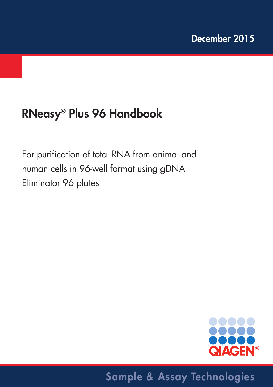# **RNeasy® Plus 96 Handbook**

For purification of total RNA from animal and human cells in 96-well format using gDNA Eliminator 96 plates



## **Sample & Assay Technologies**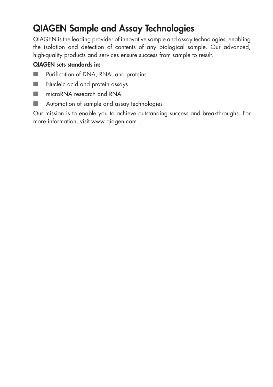## **QIAGEN Sample and Assay Technologies**

QIAGEN is the leading provider of innovative sample and assay technologies, enabling the isolation and detection of contents of any biological sample. Our advanced, high-quality products and services ensure success from sample to result.

### **QIAGEN sets standards in:**

- Purification of DNA, RNA, and proteins
- Nucleic acid and protein assays
- microRNA research and RNAi
- Automation of sample and assay technologies

Our mission is to enable you to achieve outstanding success and breakthroughs. For more information, visit www.qiagen.com .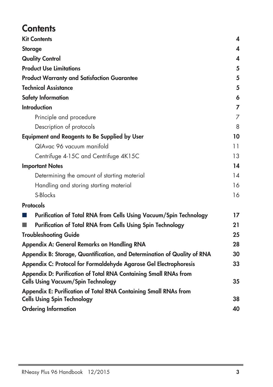## **Contents**

| <b>Kit Contents</b>                                                                                           | 4  |
|---------------------------------------------------------------------------------------------------------------|----|
| <b>Storage</b>                                                                                                | 4  |
| <b>Quality Control</b>                                                                                        | 4  |
| <b>Product Use Limitations</b>                                                                                | 5  |
| <b>Product Warranty and Satisfaction Guarantee</b>                                                            | 5  |
| <b>Technical Assistance</b>                                                                                   | 5  |
| <b>Safety Information</b>                                                                                     | 6  |
| <b>Introduction</b>                                                                                           | 7  |
| Principle and procedure                                                                                       | 7  |
| Description of protocols                                                                                      | 8  |
| <b>Equipment and Reagents to Be Supplied by User</b>                                                          | 10 |
| QIAvac 96 vacuum manifold                                                                                     | 11 |
| Centrifuge 4-15C and Centrifuge 4K15C                                                                         | 13 |
| <b>Important Notes</b>                                                                                        | 14 |
| Determining the amount of starting material                                                                   | 14 |
| Handling and storing starting material                                                                        | 16 |
| S-Blocks                                                                                                      | 16 |
| <b>Protocols</b>                                                                                              |    |
| Purification of Total RNA from Cells Using Vacuum/Spin Technology                                             | 17 |
| Purification of Total RNA from Cells Using Spin Technology                                                    | 21 |
| <b>Troubleshooting Guide</b>                                                                                  | 25 |
| Appendix A: General Remarks on Handling RNA                                                                   | 28 |
| Appendix B: Storage, Quantification, and Determination of Quality of RNA                                      | 30 |
| Appendix C: Protocol for Formaldehyde Agarose Gel Electrophoresis                                             | 33 |
| Appendix D: Purification of Total RNA Containing Small RNAs from<br><b>Cells Using Vacuum/Spin Technology</b> | 35 |
| Appendix E: Purification of Total RNA Containing Small RNAs from                                              |    |
| <b>Cells Using Spin Technology</b>                                                                            | 38 |
| <b>Ordering Information</b>                                                                                   | 40 |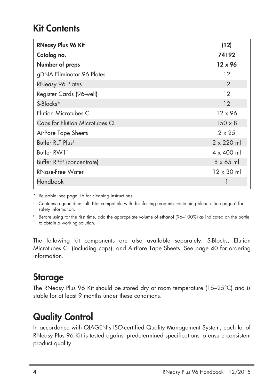## **Kit Contents**

| <b>RNeasy Plus 96 Kit</b>             | (12)              |
|---------------------------------------|-------------------|
| Catalog no.                           | 74192             |
| Number of preps                       | $12 \times 96$    |
| gDNA Eliminator 96 Plates             | 12                |
| <b>RNeasy 96 Plates</b>               | 12                |
| Register Cards (96-well)              | 12                |
| S-Blocks*                             | 12                |
| <b>Flution Microtubes CL</b>          | $12 \times 96$    |
| Caps for Elution Microtubes CL        | $150 \times 8$    |
| AirPore Tape Sheets                   | $2 \times 25$     |
| Buffer RLT Plus <sup>t</sup>          | $2 \times 220$ ml |
| Buffer RW1 <sup>t</sup>               | $4 \times 400$ ml |
| Buffer RPE <sup>#</sup> (concentrate) | $8 \times 65$ ml  |
| RNase-Free Water                      | $12 \times 30$ ml |
| Handbook                              |                   |

\* Reusable; see page 16 for cleaning instructions.

† Contains a guanidine salt. Not compatible with disinfecting reagents containing bleach. See page 6 for safety information.

Before using for the first time, add the appropriate volume of ethanol (96-100%) as indicated on the bottle to obtain a working solution.

The following kit components are also available separately: S-Blocks, Elution Microtubes CL (including caps), and AirPore Tape Sheets. See page 40 for ordering information.

### **Storage**

The RNeasy Plus 96 Kit should be stored dry at room temperature (15–25°C) and is stable for at least 9 months under these conditions.

## **Quality Control**

In accordance with QIAGEN's ISO-certified Quality Management System, each lot of RNeasy Plus 96 Kit is tested against predetermined specifications to ensure consistent product quality.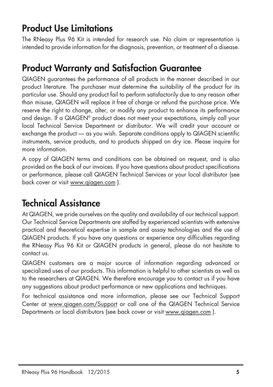## **Product Use Limitations**

The RNeasy Plus 96 Kit is intended for research use. No claim or representation is intended to provide information for the diagnosis, prevention, or treatment of a disease.

## **Product Warranty and Satisfaction Guarantee**

QIAGEN guarantees the performance of all products in the manner described in our product literature. The purchaser must determine the suitability of the product for its particular use. Should any product fail to perform satisfactorily due to any reason other than misuse, QIAGEN will replace it free of charge or refund the purchase price. We reserve the right to change, alter, or modify any product to enhance its performance and design. If a QIAGEN® product does not meet your expectations, simply call your local Technical Service Department or distributor. We will credit your account or exchange the product — as you wish. Separate conditions apply to QIAGEN scientific instruments, service products, and to products shipped on dry ice. Please inquire for more information.

A copy of QIAGEN terms and conditions can be obtained on request, and is also provided on the back of our invoices. If you have questions about product specifications or performance, please call QIAGEN Technical Services or your local distributor (see back cover or visit www.qiagen.com ).

## **Technical Assistance**

At QIAGEN, we pride ourselves on the quality and availability of our technical support. Our Technical Service Departments are staffed by experienced scientists with extensive practical and theoretical expertise in sample and assay technologies and the use of QIAGEN products. If you have any questions or experience any difficulties regarding the RNeasy Plus 96 Kit or QIAGEN products in general, please do not hesitate to contact us.

QIAGEN customers are a major source of information regarding advanced or specialized uses of our products. This information is helpful to other scientists as well as to the researchers at QIAGEN. We therefore encourage you to contact us if you have any suggestions about product performance or new applications and techniques.

For technical assistance and more information, please see our Technical Support Center at www.qiagen.com/Support or call one of the QIAGEN Technical Service Departments or local distributors (see back cover or visit www.qiagen.com ).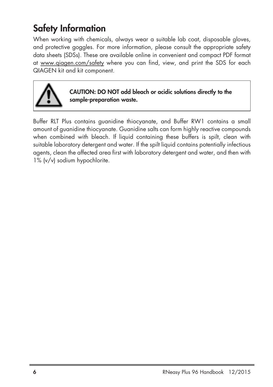## **Safety Information**

When working with chemicals, always wear a suitable lab coat, disposable gloves, and protective goggles. For more information, please consult the appropriate safety data sheets (SDSs). These are available online in convenient and compact PDF format at www.qiagen.com/safety where you can find, view, and print the SDS for each QIAGEN kit and kit component.



**CAUTION: DO NOT add bleach or acidic solutions directly to the sample-preparation waste.**

Buffer RLT Plus contains guanidine thiocyanate, and Buffer RW1 contains a small amount of guanidine thiocyanate. Guanidine salts can form highly reactive compounds when combined with bleach. If liquid containing these buffers is spilt, clean with suitable laboratory detergent and water. If the spilt liquid contains potentially infectious agents, clean the affected area first with laboratory detergent and water, and then with 1% (v/v) sodium hypochlorite.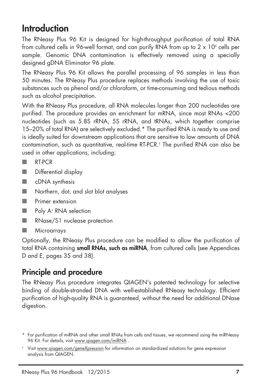## **Introduction**

The RNeasy Plus 96 Kit is designed for high-throughput purification of total RNA from cultured cells in 96-well format, and can purify RNA from up to  $2 \times 10^6$  cells per sample. Genomic DNA contamination is effectively removed using a specially designed gDNA Eliminator 96 plate.

The RNeasy Plus 96 Kit allows the parallel processing of 96 samples in less than 50 minutes. The RNeasy Plus procedure replaces methods involving the use of toxic substances such as phenol and/or chloroform, or time-consuming and tedious methods such as alcohol precipitation.

With the RNeasy Plus procedure, all RNA molecules longer than 200 nucleotides are purified. The procedure provides an enrichment for mRNA, since most RNAs <200 nucleotides (such as 5.8S rRNA, 5S rRNA, and tRNAs, which together comprise 15–20% of total RNA) are selectively excluded.\* The purified RNA is ready to use and is ideally suited for downstream applications that are sensitive to low amounts of DNA contamination, such as quantitative, real-time RT-PCR. † The purified RNA can also be used in other applications, including:

- RT-PCR
- Differential display
- cDNA synthesis
- Northern, dot, and slot blot analyses
- **Primer extension**
- Poly A<sup>+</sup> RNA selection
- RNase/S1 nuclease protection
- Microarrays

Optionally, the RNeasy Plus procedure can be modified to allow the purification of total RNA containing **small RNAs, such as miRNA**, from cultured cells (see Appendices D and E, pages 35 and 38).

## **Principle and procedure**

The RNeasy Plus procedure integrates QIAGEN's patented technology for selective binding of double-stranded DNA with well-established RNeasy technology. Efficient purification of high-quality RNA is guaranteed, without the need for additional DNase digestion.

<sup>\*</sup> For purification of miRNA and other small RNAs from cells and tissues, we recommend using the miRNeasy 96 Kit. For details, visit www.qiagen.com/miRNA .

<sup>†</sup> Visit www.qiagen.com/geneXpression for information on standardized solutions for gene expression analysis from QIAGEN.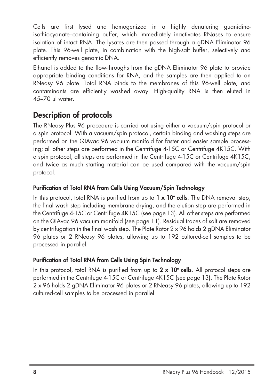Cells are first lysed and homogenized in a highly denaturing guanidineisothiocyanate–containing buffer, which immediately inactivates RNases to ensure isolation of intact RNA. The lysates are then passed through a gDNA Eliminator 96 plate. This 96-well plate, in combination with the high-salt buffer, selectively and efficiently removes genomic DNA.

Ethanol is added to the flow-throughs from the gDNA Eliminator 96 plate to provide appropriate binding conditions for RNA, and the samples are then applied to an RNeasy 96 plate. Total RNA binds to the membranes of this 96-well plate, and contaminants are efficiently washed away. High-quality RNA is then eluted in 45–70 µl water.

### **Description of protocols**

The RNeasy Plus 96 procedure is carried out using either a vacuum/spin protocol or a spin protocol. With a vacuum/spin protocol, certain binding and washing steps are performed on the QIAvac 96 vacuum manifold for faster and easier sample processing; all other steps are performed in the Centrifuge 4-15C or Centrifuge 4K15C. With a spin protocol, all steps are performed in the Centrifuge 4-15C or Centrifuge 4K15C, and twice as much starting material can be used compared with the vacuum/spin protocol.

### **Purification of Total RNA from Cells Using Vacuum/Spin Technology**

In this protocol, total RNA is purified from up to **1 x 106 cells**. The DNA removal step, the final wash step including membrane drying, and the elution step are performed in the Centrifuge 4-15C or Centrifuge 4K15C (see page 13). All other steps are performed on the QIAvac 96 vacuum manifold (see page 11). Residual traces of salt are removed by centrifugation in the final wash step. The Plate Rotor 2 x 96 holds 2 gDNA Eliminator 96 plates or 2 RNeasy 96 plates, allowing up to 192 cultured-cell samples to be processed in parallel.

### **Purification of Total RNA from Cells Using Spin Technology**

In this protocol, total RNA is purified from up to **2 x 106 cells**. All protocol steps are performed in the Centrifuge 4-15C or Centrifuge 4K15C (see page 13). The Plate Rotor 2 x 96 holds 2 gDNA Eliminator 96 plates or 2 RNeasy 96 plates, allowing up to 192 cultured-cell samples to be processed in parallel.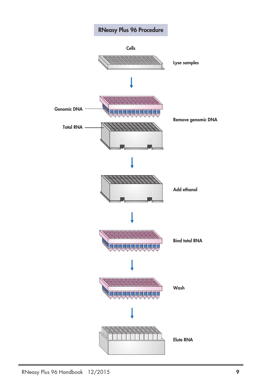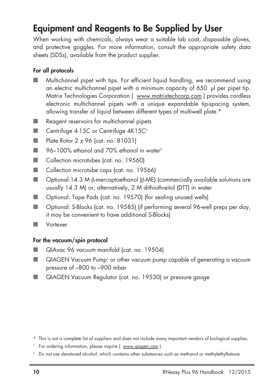## **Equipment and Reagents to Be Supplied by User**

When working with chemicals, always wear a suitable lab coat, disposable gloves, and protective goggles. For more information, consult the appropriate safety data sheets (SDSs), available from the product supplier.

### **For all protocols**

- Multichannel pipet with tips. For efficient liquid handling, we recommend using an electric multichannel pipet with a minimum capacity of 650 µl per pipet tip. Matrix Technologies Corporation ( www.matrixtechcorp.com ) provides cordless electronic multichannel pipets with a unique expandable tip-spacing system, allowing transfer of liquid between different types of multiwell plate.\*
- Reagent reservoirs for multichannel pipets
- Centrifuge 4-15C or Centrifuge 4K15C<sup>t</sup>
- Plate Rotor 2 x 96 (cat. no. 81031)
- 96–100% ethanol and 70% ethanol in water ‡
- Collection microtubes (cat. no. 19560)
- Collection microtube caps (cat. no. 19566)
- Optional:14.3 M β-mercaptoethanol (β-ME) (commercially available solutions are usually 14.3 M) or, alternatively, 2 M dithiothreitol (DTT) in water
- Optional: Tape Pads (cat. no. 19570) (for sealing unused wells)
- Optional: S-Blocks (cat. no. 19585) (if performing several 96-well preps per day, it may be convenient to have additional S-Blocks)
- Vortexer

### **For the vacuum/spin protocol**

- QIAvac 96 vacuum manifold (cat. no. 19504)
- QIAGEN Vacuum Pump<sup>†</sup> or other vacuum pump capable of generating a vacuum pressure of –800 to –900 mbar
- QIAGEN Vacuum Regulator (cat. no. 19530) or pressure gauge

- † For ordering information, please inquire ( www.qiagen.com ).
- ‡ Do not use denatured alcohol, which contains other substances such as methanol or methylethylketone.

<sup>\*</sup> This is not a complete list of suppliers and does not include many important vendors of biological supplies.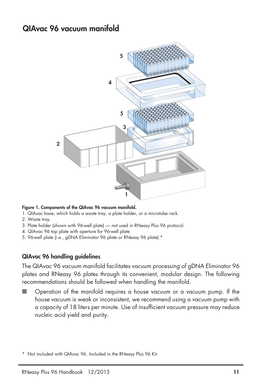### **QIAvac 96 vacuum manifold**



#### **Figure 1. Components of the QIAvac 96 vacuum manifold.**

- 1. QIAvac base, which holds a waste tray, a plate holder, or a microtube rack.
- 2. Waste tray.
- 3. Plate holder (shown with 96-well plate) not used in RNeasy Plus 96 protocol.
- 4. QIAvac 96 top plate with aperture for 96-well plate.
- 5. 96-well plate (i.e., gDNA Eliminator 96 plate or RNeasy 96 plate).\*

#### **QIAvac 96 handling guidelines**

The QIAvac 96 vacuum manifold facilitates vacuum processing of gDNA Eliminator 96 plates and RNeasy 96 plates through its convenient, modular design. The following recommendations should be followed when handling the manifold.

Operation of the manifold requires a house vacuum or a vacuum pump. If the house vacuum is weak or inconsistent, we recommend using a vacuum pump with a capacity of 18 liters per minute. Use of insufficient vacuum pressure may reduce nucleic acid yield and purity.

Not included with QIAvac 96. Included in the RNeasy Plus 96 Kit.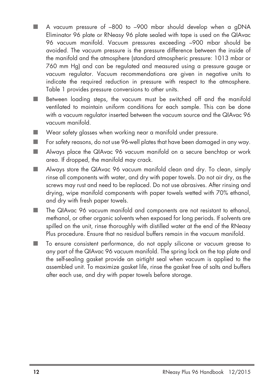- A vacuum pressure of -800 to -900 mbar should develop when a gDNA Eliminator 96 plate or RNeasy 96 plate sealed with tape is used on the QIAvac 96 vacuum manifold. Vacuum pressures exceeding –900 mbar should be avoided. The vacuum pressure is the pressure difference between the inside of the manifold and the atmosphere (standard atmospheric pressure: 1013 mbar or 760 mm Hg) and can be regulated and measured using a pressure gauge or vacuum regulator. Vacuum recommendations are given in negative units to indicate the required reduction in pressure with respect to the atmosphere. Table 1 provides pressure conversions to other units.
- Between loading steps, the vacuum must be switched off and the manifold ventilated to maintain uniform conditions for each sample. This can be done with a vacuum regulator inserted between the vacuum source and the QIAvac 96 vacuum manifold.
- Wear safety glasses when working near a manifold under pressure.
- For safety reasons, do not use 96-well plates that have been damaged in any way.
- Always place the QIAvac 96 vacuum manifold on a secure benchtop or work area. If dropped, the manifold may crack.
- Always store the QIAvac 96 vacuum manifold clean and dry. To clean, simply rinse all components with water, and dry with paper towels. Do not air dry, as the screws may rust and need to be replaced. Do not use abrasives. After rinsing and drying, wipe manifold components with paper towels wetted with 70% ethanol, and dry with fresh paper towels.
- The QIAvac 96 vacuum manifold and components are not resistant to ethanol, methanol, or other organic solvents when exposed for long periods. If solvents are spilled on the unit, rinse thoroughly with distilled water at the end of the RNeasy Plus procedure. Ensure that no residual buffers remain in the vacuum manifold.
- To ensure consistent performance, do not apply silicone or vacuum grease to any part of the QIAvac 96 vacuum manifold. The spring lock on the top plate and the self-sealing gasket provide an airtight seal when vacuum is applied to the assembled unit. To maximize gasket life, rinse the gasket free of salts and buffers after each use, and dry with paper towels before storage.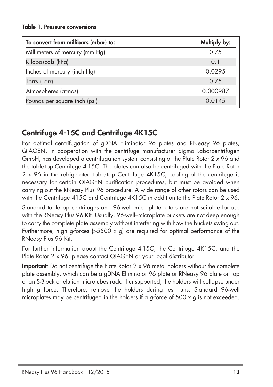### **Table 1. Pressure conversions**

| To convert from millibars (mbar) to: | Multiply by: |
|--------------------------------------|--------------|
| Millimeters of mercury (mm Hg)       | 0.75         |
| Kilopascals (kPa)                    | 0.1          |
| Inches of mercury (inch Hg)          | 0.0295       |
| Torrs (Torr)                         | 0.75         |
| Atmospheres (atmos)                  | 0.000987     |
| Pounds per square inch (psi)         | 0.0145       |

## **Centrifuge 4-15C and Centrifuge 4K15C**

For optimal centrifugation of gDNA Eliminator 96 plates and RNeasy 96 plates, QIAGEN, in cooperation with the centrifuge manufacturer Sigma Laborzentrifugen GmbH, has developed a centrifugation system consisting of the Plate Rotor 2 x 96 and the table-top Centrifuge 4-15C. The plates can also be centrifuged with the Plate Rotor 2 x 96 in the refrigerated table-top Centrifuge 4K15C; cooling of the centrifuge is necessary for certain QIAGEN purification procedures, but must be avoided when carrying out the RNeasy Plus 96 procedure. A wide range of other rotors can be used with the Centrifuge 415C and Centrifuge 4K15C in addition to the Plate Rotor 2 x 96.

Standard table-top centrifuges and 96-well–microplate rotors are not suitable for use with the RNeasy Plus 96 Kit. Usually, 96-well–microplate buckets are not deep enough to carry the complete plate assembly without interfering with how the buckets swing out. Furthermore, high *g*-forces (>5500 x *g*) are required for optimal performance of the RNeasy Plus 96 Kit.

For further information about the Centrifuge 4-15C, the Centrifuge 4K15C, and the Plate Rotor 2 x 96, please contact QIAGEN or your local distributor.

**Important**: Do not centrifuge the Plate Rotor 2 x 96 metal holders without the complete plate assembly, which can be a gDNA Eliminator 96 plate or RNeasy 96 plate on top of an S-Block or elution microtubes rack. If unsupported, the holders will collapse under high *g* force. Therefore, remove the holders during test runs. Standard 96-well microplates may be centrifuged in the holders if a *g*-force of 500 x *g* is not exceeded.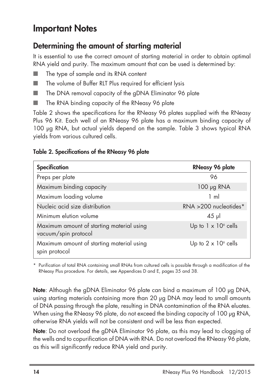## **Important Notes**

### **Determining the amount of starting material**

It is essential to use the correct amount of starting material in order to obtain optimal RNA yield and purity. The maximum amount that can be used is determined by:

- The type of sample and its RNA content
- The volume of Buffer RLT Plus required for efficient lysis
- The DNA removal capacity of the gDNA Eliminator 96 plate
- The RNA binding capacity of the RNeasy 96 plate

Table 2 shows the specifications for the RNeasy 96 plates supplied with the RNeasy Plus 96 Kit. Each well of an RNeasy 96 plate has a maximum binding capacity of 100 µg RNA, but actual yields depend on the sample. Table 3 shows typical RNA yields from various cultured cells.

### **Table 2. Specifications of the RNeasy 96 plate**

| Specification                                                     | <b>RNeasy 96 plate</b>      |
|-------------------------------------------------------------------|-----------------------------|
| Preps per plate                                                   | 96                          |
| Maximum binding capacity                                          | $100 \mu g$ RNA             |
| Maximum loading volume                                            | $1 \text{ ml}$              |
| Nucleic acid size distribution                                    | RNA >200 nucleotides*       |
| Minimum elution volume                                            | $45$ µ                      |
| Maximum amount of starting material using<br>vacuum/spin protocol | Up to $1 \times 10^6$ cells |
| Maximum amount of starting material using<br>spin protocol        | Up to $2 \times 10^6$ cells |

\* Purification of total RNA containing small RNAs from cultured cells is possible through a modification of the RNeasy Plus procedure. For details, see Appendices D and E, pages 35 and 38.

**Note**: Although the gDNA Eliminator 96 plate can bind a maximum of 100 µg DNA, using starting materials containing more than 20 µg DNA may lead to small amounts of DNA passing through the plate, resulting in DNA contamination of the RNA eluates. When using the RNeasy 96 plate, do not exceed the binding capacity of 100 µg RNA, otherwise RNA yields will not be consistent and will be less than expected.

**Note**: Do not overload the gDNA Eliminator 96 plate, as this may lead to clogging of the wells and to copurification of DNA with RNA. Do not overload the RNeasy 96 plate, as this will significantly reduce RNA yield and purity.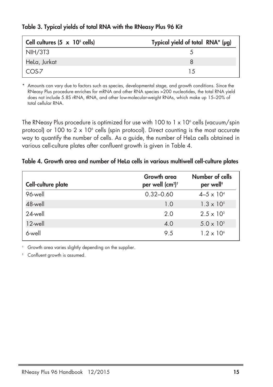| Cell cultures $(5 \times 10^5 \text{ cells})$ | Typical yield of total RNA* (µg) |
|-----------------------------------------------|----------------------------------|
| NIH/3T3                                       |                                  |
| HeLa, Jurkat                                  | 8                                |
| COS-7                                         | 15                               |

### **Table 3. Typical yields of total RNA with the RNeasy Plus 96 Kit**

Amounts can vary due to factors such as species, developmental stage, and growth conditions. Since the RNeasy Plus procedure enriches for mRNA and other RNA species >200 nucleotides, the total RNA yield does not include 5.8S rRNA, tRNA, and other low-molecular-weight RNAs, which make up 15–20% of total cellular RNA.

The RNeasy Plus procedure is optimized for use with  $100$  to  $1 \times 10^6$  cells (vacuum/spin protocol) or 100 to  $2 \times 10^6$  cells (spin protocol). Direct counting is the most accurate way to quantify the number of cells. As a guide, the number of HeLa cells obtained in various cell-culture plates after confluent growth is given in Table 4.

### **Table 4. Growth area and number of HeLa cells in various multiwell cell-culture plates**

| Cell-culture plate | <b>Growth</b> area<br>per well (cm <sup>2)†</sup> | Number of cells<br>per well <sup>+</sup> |
|--------------------|---------------------------------------------------|------------------------------------------|
| 96-well            | $0.32 - 0.60$                                     | $4 - 5 \times 10^{4}$                    |
| 48-well            | 1.0                                               | $1.3 \times 10^{5}$                      |
| 24-well            | 2.0                                               | $2.5 \times 10^{5}$                      |
| 12-well            | 4.0                                               | $5.0 \times 10^{5}$                      |
| 6-well             | 9.5                                               | $1.2 \times 10^{6}$                      |

† Growth area varies slightly depending on the supplier.

Confluent growth is assumed.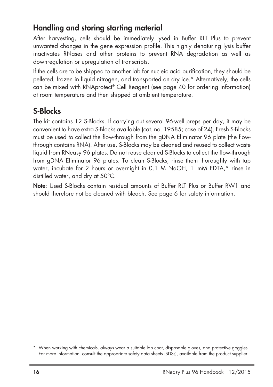### **Handling and storing starting material**

After harvesting, cells should be immediately lysed in Buffer RLT Plus to prevent unwanted changes in the gene expression profile. This highly denaturing lysis buffer inactivates RNases and other proteins to prevent RNA degradation as well as downregulation or upregulation of transcripts.

If the cells are to be shipped to another lab for nucleic acid purification, they should be pelleted, frozen in liquid nitrogen, and transported on dry ice.\* Alternatively, the cells can be mixed with RNAprotect ® Cell Reagent (see page 40 for ordering information) at room temperature and then shipped at ambient temperature.

## **S-Blocks**

The kit contains 12 S-Blocks. If carrying out several 96-well preps per day, it may be convenient to have extra S-Blocks available (cat. no. 19585; case of 24). Fresh S-Blocks must be used to collect the flow-through from the gDNA Eliminator 96 plate (the flowthrough contains RNA). After use, S-Blocks may be cleaned and reused to collect waste liquid from RNeasy 96 plates. Do not reuse cleaned S-Blocks to collect the flow-through from gDNA Eliminator 96 plates. To clean S-Blocks, rinse them thoroughly with tap water, incubate for 2 hours or overnight in 0.1 M NaOH, 1 mM EDTA,\* rinse in distilled water, and dry at 50°C.

**Note**: Used S-Blocks contain residual amounts of Buffer RLT Plus or Buffer RW1 and should therefore not be cleaned with bleach. See page 6 for safety information.

<sup>\*</sup> When working with chemicals, always wear a suitable lab coat, disposable gloves, and protective goggles. For more information, consult the appropriate safety data sheets (SDSs), available from the product supplier.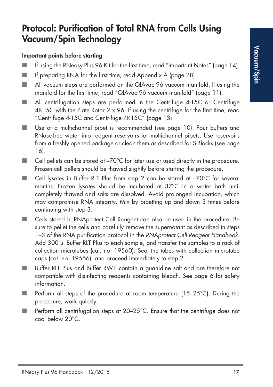## **Protocol: Purification of Total RNA from Cells Using Vacuum/Spin Technology**

### **Important points before starting**

- If using the RNeasy Plus 96 Kit for the first time, read "Important Notes" (page 14).
- If preparing RNA for the first time, read Appendix A (page 28).
- All vacuum steps are performed on the QIAvac 96 vacuum manifold. If using the manifold for the first time, read "QIAvac 96 vacuum manifold" (page 11).
- All centrifugation steps are performed in the Centrifuge 4-15C or Centrifuge 4K15C with the Plate Rotor 2 x 96. If using the centrifuge for the first time, read "Centrifuge 4-15C and Centrifuge 4K15C" (page 13).
- Use of a multichannel pipet is recommended (see page 10). Pour buffers and RNase-free water into reagent reservoirs for multichannel pipets. Use reservoirs from a freshly opened package or clean them as described for S-Blocks (see page 16).
- $\Box$  Cell pellets can be stored at  $-70^{\circ}$ C for later use or used directly in the procedure. Frozen cell pellets should be thawed slightly before starting the procedure.
- Cell lysates in Buffer RLT Plus from step 2 can be stored at –70°C for several months. Frozen lysates should be incubated at 37°C in a water bath until completely thawed and salts are dissolved. Avoid prolonged incubation, which may compromise RNA integrity. Mix by pipetting up and down 3 times before continuing with step 3.
- Cells stored in RNAprotect Cell Reagent can also be used in the procedure. Be sure to pellet the cells and carefully remove the supernatant as described in steps 1–3 of the RNA purification protocol in the *RNAprotect Cell Reagent Handbook.* Add 300 µl Buffer RLT Plus to each sample, and transfer the samples to a rack of collection microtubes (cat. no. 19560). Seal the tubes with collection microtube caps (cat. no. 19566), and proceed immediately to step 2.
- Buffer RLT Plus and Buffer RW1 contain a guanidine salt and are therefore not compatible with disinfecting reagents containing bleach. See page 6 for safety information.
- Perform all steps of the procedure at room temperature (15–25°C). During the procedure, work quickly.
- Perform all centrifugation steps at 20–25°C. Ensure that the centrifuge does not cool below 20°C.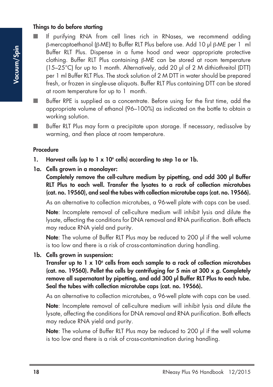### **Things to do before starting**

- If purifying RNA from cell lines rich in RNases, we recommend adding β-mercaptoethanol (β-ME) to Buffer RLT Plus before use. Add 10 µl β-ME per 1 ml Buffer RLT Plus. Dispense in a fume hood and wear appropriate protective clothing. Buffer RLT Plus containing β-ME can be stored at room temperature (15–25°C) for up to 1 month. Alternatively, add 20 µl of 2 M dithiothreitol (DTT) per 1 ml Buffer RLT Plus. The stock solution of 2 M DTT in water should be prepared fresh, or frozen in single-use aliquots. Buffer RLT Plus containing DTT can be stored at room temperature for up to 1 month.
- Buffer RPE is supplied as a concentrate. Before using for the first time, add the appropriate volume of ethanol (96–100%) as indicated on the bottle to obtain a working solution.
- Buffer RLT Plus may form a precipitate upon storage. If necessary, redissolve by warming, and then place at room temperature.

### **Procedure**

- **1. Harvest cells (up to 1 x 106 cells) according to step 1a or 1b.**
- **1a. Cells grown in a monolayer:**

**Completely remove the cell-culture medium by pipetting, and add 300 µl Buffer RLT Plus to each well. Transfer the lysates to a rack of collection microtubes (cat. no. 19560), and seal the tubes with collection microtube caps (cat. no. 19566).**

As an alternative to collection microtubes, a 96-well plate with caps can be used.

**Note**: Incomplete removal of cell-culture medium will inhibit lysis and dilute the lysate, affecting the conditions for DNA removal and RNA purification. Both effects may reduce RNA yield and purity.

**Note:** The volume of Buffer RLT Plus may be reduced to 200 ul if the well volume is too low and there is a risk of cross-contamination during handling.

**1b. Cells grown in suspension:**

**Transfer up to 1 x 106 cells from each sample to a rack of collection microtubes (cat. no. 19560). Pellet the cells by centrifuging for 5 min at 300 x** *g***. Completely remove all supernatant by pipetting, and add 300 µl Buffer RLT Plus to each tube. Seal the tubes with collection microtube caps (cat. no. 19566).**

As an alternative to collection microtubes, a 96-well plate with caps can be used.

**Note**: Incomplete removal of cell-culture medium will inhibit lysis and dilute the lysate, affecting the conditions for DNA removal and RNA purification. Both effects may reduce RNA yield and purity.

**Note**: The volume of Buffer RLT Plus may be reduced to 200 µl if the well volume is too low and there is a risk of cross-contamination during handling.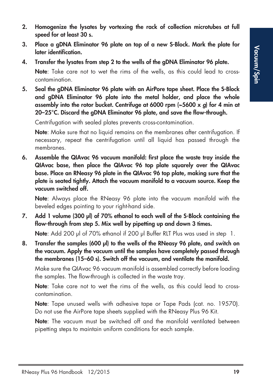- **2. Homogenize the lysates by vortexing the rack of collection microtubes at full speed for at least 30 s.**
- **3. Place a gDNA Eliminator 96 plate on top of a new S-Block. Mark the plate for later identification.**
- **4. Transfer the lysates from step 2 to the wells of the gDNA Eliminator 96 plate.**

**Note**: Take care not to wet the rims of the wells, as this could lead to crosscontamination.

**5. Seal the gDNA Eliminator 96 plate with an AirPore tape sheet. Place the S-Block and gDNA Eliminator 96 plate into the metal holder, and place the whole assembly into the rotor bucket. Centrifuge at 6000 rpm (~5600 x** *g***) for 4 min at 20–25°C. Discard the gDNA Eliminator 96 plate, and save the flow-through.**

Centrifugation with sealed plates prevents cross-contamination.

**Note**: Make sure that no liquid remains on the membranes after centrifugation. If necessary, repeat the centrifugation until all liquid has passed through the membranes.

**6. Assemble the QIAvac 96 vacuum manifold: first place the waste tray inside the QIAvac base, then place the QIAvac 96 top plate squarely over the QIAvac base. Place an RNeasy 96 plate in the QIAvac 96 top plate, making sure that the plate is seated tightly. Attach the vacuum manifold to a vacuum source. Keep the vacuum switched off.**

**Note**: Always place the RNeasy 96 plate into the vacuum manifold with the beveled edges pointing to your right-hand side.

**7. Add 1 volume (300 µl) of 70% ethanol to each well of the S-Block containing the flow-through from step 5. Mix well by pipetting up and down 3 times.**

**Note:** Add 200 µl of 70% ethanol if 200 µl Buffer RLT Plus was used in step 1.

**8. Transfer the samples (600 µl) to the wells of the RNeasy 96 plate, and switch on the vacuum. Apply the vacuum until the samples have completely passed through the membranes (15–60 s). Switch off the vacuum, and ventilate the manifold.**

Make sure the QIAvac 96 vacuum manifold is assembled correctly before loading the samples. The flow-through is collected in the waste tray.

**Note**: Take care not to wet the rims of the wells, as this could lead to crosscontamination.

**Note**: Tape unused wells with adhesive tape or Tape Pads (cat. no. 19570). Do not use the AirPore tape sheets supplied with the RNeasy Plus 96 Kit.

**Note**: The vacuum must be switched off and the manifold ventilated between pipetting steps to maintain uniform conditions for each sample.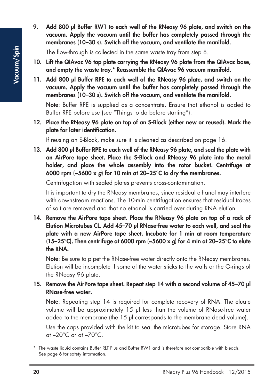**9. Add 800 µl Buffer RW1 to each well of the RNeasy 96 plate, and switch on the vacuum. Apply the vacuum until the buffer has completely passed through the membranes (10–30 s). Switch off the vacuum, and ventilate the manifold.**

The flow-through is collected in the same waste tray from step 8.

- **10. Lift the QIAvac 96 top plate carrying the RNeasy 96 plate from the QIAvac base, and empty the waste tray.\* Reassemble the QIAvac 96 vacuum manifold.**
- **11. Add 800 µl Buffer RPE to each well of the RNeasy 96 plate, and switch on the vacuum. Apply the vacuum until the buffer has completely passed through the membranes (10–30 s). Switch off the vacuum, and ventilate the manifold.**

**Note**: Buffer RPE is supplied as a concentrate. Ensure that ethanol is added to Buffer RPE before use (see "Things to do before starting").

**12. Place the RNeasy 96 plate on top of an S-Block (either new or reused). Mark the plate for later identification.**

If reusing an S-Block, make sure it is cleaned as described on page 16.

**13. Add 800 µl Buffer RPE to each well of the RNeasy 96 plate, and seal the plate with an AirPore tape sheet. Place the S-Block and RNeasy 96 plate into the metal holder, and place the whole assembly into the rotor bucket. Centrifuge at 6000 rpm (~5600 x** *g***) for 10 min at 20–25°C to dry the membranes.**

Centrifugation with sealed plates prevents cross-contamination.

It is important to dry the RNeasy membranes, since residual ethanol may interfere with downstream reactions. The 10-min centrifugation ensures that residual traces of salt are removed and that no ethanol is carried over during RNA elution.

**14. Remove the AirPore tape sheet. Place the RNeasy 96 plate on top of a rack of Elution Microtubes CL. Add 45–70 µl RNase-free water to each well, and seal the plate with a new AirPore tape sheet. Incubate for 1 min at room temperature (15–25°C). Then centrifuge at 6000 rpm (~5600 x** *g***) for 4 min at 20–25°C to elute the RNA.**

**Note**: Be sure to pipet the RNase-free water directly onto the RNeasy membranes. Elution will be incomplete if some of the water sticks to the walls or the O-rings of the RNeasy 96 plate.

### **15. Remove the AirPore tape sheet. Repeat step 14 with a second volume of 45–70 µl RNase-free water.**

**Note**: Repeating step 14 is required for complete recovery of RNA. The eluate volume will be approximately 15 µl less than the volume of RNase-free water added to the membrane (the 15 µl corresponds to the membrane dead volume).

Use the caps provided with the kit to seal the microtubes for storage. Store RNA at –20°C or at –70°C.

<sup>\*</sup> The waste liquid contains Buffer RLT Plus and Buffer RW1 and is therefore not compatible with bleach. See page 6 for safety information.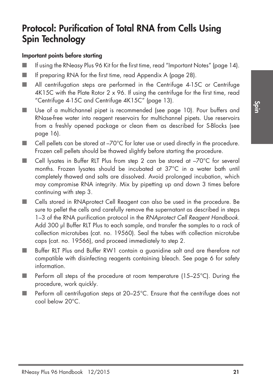## **Protocol: Purification of Total RNA from Cells Using Spin Technology**

### **Important points before starting**

- If using the RNeasy Plus 96 Kit for the first time, read "Important Notes" (page 14).
- If preparing RNA for the first time, read Appendix A (page 28).
- All centrifugation steps are performed in the Centrifuge 4-15C or Centrifuge  $4K15C$  with the Plate Rotor  $2 \times 96$ . If using the centrifuge for the first time, read "Centrifuge 4-15C and Centrifuge 4K15C" (page 13).
- Use of a multichannel pipet is recommended (see page 10). Pour buffers and RNase-free water into reagent reservoirs for multichannel pipets. Use reservoirs from a freshly opened package or clean them as described for S-Blocks (see page 16).
- $\Box$  Cell pellets can be stored at  $-70^{\circ}$ C for later use or used directly in the procedure. Frozen cell pellets should be thawed slightly before starting the procedure.
- Cell lysates in Buffer RLT Plus from step 2 can be stored at –70°C for several months. Frozen lysates should be incubated at 37°C in a water bath until completely thawed and salts are dissolved. Avoid prolonged incubation, which may compromise RNA integrity. Mix by pipetting up and down 3 times before continuing with step 3.
- Cells stored in RNAprotect Cell Reagent can also be used in the procedure. Be sure to pellet the cells and carefully remove the supernatant as described in steps 1–3 of the RNA purification protocol in the *RNAprotect Cell Reagent Handbook.* Add 300 µl Buffer RLT Plus to each sample, and transfer the samples to a rack of collection microtubes (cat. no. 19560). Seal the tubes with collection microtube caps (cat. no. 19566), and proceed immediately to step 2.
- Buffer RLT Plus and Buffer RW1 contain a guanidine salt and are therefore not compatible with disinfecting reagents containing bleach. See page 6 for safety information.
- Perform all steps of the procedure at room temperature (15-25°C). During the procedure, work quickly.
- Perform all centrifugation steps at 20–25°C. Ensure that the centrifuge does not cool below 20°C.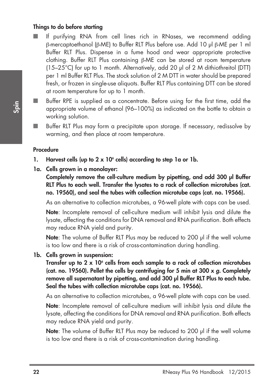### **Things to do before starting**

- If purifying RNA from cell lines rich in RNases, we recommend adding β-mercaptoethanol (β-ME) to Buffer RLT Plus before use. Add 10 µl β-ME per 1 ml Buffer RLT Plus. Dispense in a fume hood and wear appropriate protective clothing. Buffer RLT Plus containing β-ME can be stored at room temperature (15–25°C) for up to 1 month. Alternatively, add 20 µl of 2 M dithiothreitol (DTT) per 1 ml Buffer RLT Plus. The stock solution of 2 M DTT in water should be prepared fresh, or frozen in single-use aliquots. Buffer RLT Plus containing DTT can be stored at room temperature for up to 1 month.
- Buffer RPE is supplied as a concentrate. Before using for the first time, add the appropriate volume of ethanol (96–100%) as indicated on the bottle to obtain a working solution.
- Buffer RLT Plus may form a precipitate upon storage. If necessary, redissolve by warming, and then place at room temperature.

### **Procedure**

- **1. Harvest cells (up to 2 x 106 cells) according to step 1a or 1b.**
- **1a. Cells grown in a monolayer:**

**Completely remove the cell-culture medium by pipetting, and add 300 µl Buffer RLT Plus to each well. Transfer the lysates to a rack of collection microtubes (cat. no. 19560), and seal the tubes with collection microtube caps (cat. no. 19566).**

As an alternative to collection microtubes, a 96-well plate with caps can be used.

**Note**: Incomplete removal of cell-culture medium will inhibit lysis and dilute the lysate, affecting the conditions for DNA removal and RNA purification. Both effects may reduce RNA yield and purity.

**Note**: The volume of Buffer RLT Plus may be reduced to 200 ul if the well volume is too low and there is a risk of cross-contamination during handling.

**1b. Cells grown in suspension:**

**Transfer up to 2 x 106 cells from each sample to a rack of collection microtubes (cat. no. 19560). Pellet the cells by centrifuging for 5 min at 300 x** *g***. Completely remove all supernatant by pipetting, and add 300 µl Buffer RLT Plus to each tube. Seal the tubes with collection microtube caps (cat. no. 19566).**

As an alternative to collection microtubes, a 96-well plate with caps can be used.

**Note**: Incomplete removal of cell-culture medium will inhibit lysis and dilute the lysate, affecting the conditions for DNA removal and RNA purification. Both effects may reduce RNA yield and purity.

**Note**: The volume of Buffer RLT Plus may be reduced to 200 µl if the well volume is too low and there is a risk of cross-contamination during handling.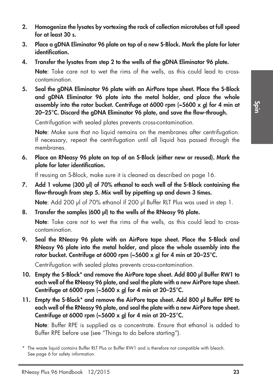- **2. Homogenize the lysates by vortexing the rack of collection microtubes at full speed for at least 30 s.**
- **3. Place a gDNA Eliminator 96 plate on top of a new S-Block. Mark the plate for later identification.**
- **4. Transfer the lysates from step 2 to the wells of the gDNA Eliminator 96 plate.**

**Note**: Take care not to wet the rims of the wells, as this could lead to crosscontamination.

**5. Seal the gDNA Eliminator 96 plate with an AirPore tape sheet. Place the S-Block and gDNA Eliminator 96 plate into the metal holder, and place the whole assembly into the rotor bucket. Centrifuge at 6000 rpm (~5600 x** *g***) for 4 min at 20–25°C. Discard the gDNA Eliminator 96 plate, and save the flow-through.**

Centrifugation with sealed plates prevents cross-contamination.

**Note:** Make sure that no liquid remains on the membranes after centrifugation. If necessary, repeat the centrifugation until all liquid has passed through the membranes.

**6. Place an RNeasy 96 plate on top of an S-Block (either new or reused). Mark the plate for later identification.**

If reusing an S-Block, make sure it is cleaned as described on page 16.

**7. Add 1 volume (300 µl) of 70% ethanol to each well of the S-Block containing the flow-through from step 5. Mix well by pipetting up and down 3 times.**

**Note:** Add 200 µl of 70% ethanol if 200 µl Buffer RLT Plus was used in step 1.

**8. Transfer the samples (600 µl) to the wells of the RNeasy 96 plate.**

**Note**: Take care not to wet the rims of the wells, as this could lead to crosscontamination.

**9. Seal the RNeasy 96 plate with an AirPore tape sheet. Place the S-Block and RNeasy 96 plate into the metal holder, and place the whole assembly into the rotor bucket. Centrifuge at 6000 rpm (~5600 x** *g***) for 4 min at 20–25°C.**

Centrifugation with sealed plates prevents cross-contamination.

- **10. Empty the S-Block\* and remove the AirPore tape sheet. Add 800 µl Buffer RW1 to each well of the RNeasy 96 plate, and seal the plate with a new AirPore tape sheet. Centrifuge at 6000 rpm (~5600 x** *g***) for 4 min at 20–25°C.**
- **11. Empty the S-Block\* and remove the AirPore tape sheet. Add 800 µl Buffer RPE to each well of the RNeasy 96 plate, and seal the plate with a new AirPore tape sheet. Centrifuge at 6000 rpm (~5600 x** *g***) for 4 min at 20–25°C.**

**Note**: Buffer RPE is supplied as a concentrate. Ensure that ethanol is added to Buffer RPE before use (see "Things to do before starting").

<sup>\*</sup> The waste liquid contains Buffer RLT Plus or Buffer RW1 and is therefore not compatible with bleach. See page 6 for safety information.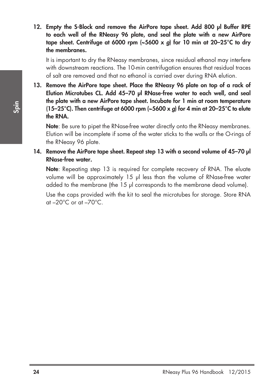**12. Empty the S-Block and remove the AirPore tape sheet. Add 800 µl Buffer RPE to each well of the RNeasy 96 plate, and seal the plate with a new AirPore tape sheet. Centrifuge at 6000 rpm (~5600 x** *g***) for 10 min at 20–25°C to dry the membranes.**

It is important to dry the RNeasy membranes, since residual ethanol may interfere with downstream reactions. The 10-min centrifugation ensures that residual traces of salt are removed and that no ethanol is carried over during RNA elution.

**13. Remove the AirPore tape sheet. Place the RNeasy 96 plate on top of a rack of Elution Microtubes CL. Add 45–70 µl RNase-free water to each well, and seal the plate with a new AirPore tape sheet. Incubate for 1 min at room temperature (15–25°C). Then centrifuge at 6000 rpm (~5600 x** *g***) for 4 min at 20–25°C to elute the RNA.**

**Note:** Be sure to pipet the RNase-free water directly onto the RNeasy membranes. Elution will be incomplete if some of the water sticks to the walls or the O-rings of the RNeasy 96 plate.

### **14. Remove the AirPore tape sheet. Repeat step 13 with a second volume of 45–70 µl RNase-free water.**

**Note**: Repeating step 13 is required for complete recovery of RNA. The eluate volume will be approximately 15 µl less than the volume of RNase-free water added to the membrane (the 15 µl corresponds to the membrane dead volume).

Use the caps provided with the kit to seal the microtubes for storage. Store RNA at  $-20^{\circ}$ C or at  $-70^{\circ}$ C.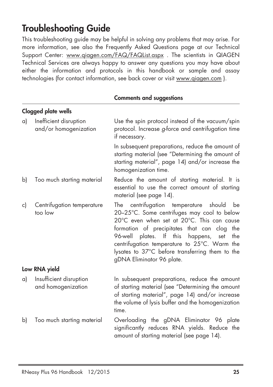## **Troubleshooting Guide**

This troubleshooting guide may be helpful in solving any problems that may arise. For more information, see also the Frequently Asked Questions page at our Technical Support Center: www.qiagen.com/FAQ/FAQList.aspx . The scientists in QIAGEN Technical Services are always happy to answer any questions you may have about either the information and protocols in this handbook or sample and assay technologies (for contact information, see back cover or visit www.qiagen.com ).

|    | <b>Clogged plate wells</b>                      |                                                                                                                                                                                                                                                                                                                                                                           |
|----|-------------------------------------------------|---------------------------------------------------------------------------------------------------------------------------------------------------------------------------------------------------------------------------------------------------------------------------------------------------------------------------------------------------------------------------|
| a) | Inefficient disruption<br>and/or homogenization | Use the spin protocol instead of the vacuum/spin<br>protocol. Increase g-force and centrifugation time<br>if necessary.                                                                                                                                                                                                                                                   |
|    |                                                 | In subsequent preparations, reduce the amount of<br>starting material (see "Determining the amount of<br>starting material", page 14) and/or increase the<br>homogenization time.                                                                                                                                                                                         |
| b) | Too much starting material                      | Reduce the amount of starting material. It is<br>essential to use the correct amount of starting<br>material (see page 14).                                                                                                                                                                                                                                               |
| c) | Centrifugation temperature<br>too low           | The centrifugation temperature should<br>be<br>20-25°C. Some centrifuges may cool to below<br>20°C even when set at 20°C. This can cause<br>formation of precipitates that can clog the<br>96-well plates. If this<br>happens, set<br>the<br>centrifugation temperature to 25°C. Warm the<br>lysates to 37°C before transferring them to the<br>gDNA Eliminator 96 plate. |
|    | Low RNA yield                                   |                                                                                                                                                                                                                                                                                                                                                                           |
| a) | Insufficient disruption<br>and homogenization   | In subsequent preparations, reduce the amount<br>of starting material (see "Determining the amount<br>of starting material", page 14) and/or increase<br>the volume of lysis buffer and the homogenization<br>time.                                                                                                                                                       |
| b) | Too much starting material                      | Overloading the gDNA Eliminator 96 plate<br>significantly reduces RNA yields. Reduce the<br>amount of starting material (see page 14).                                                                                                                                                                                                                                    |

### **Comments and suggestions**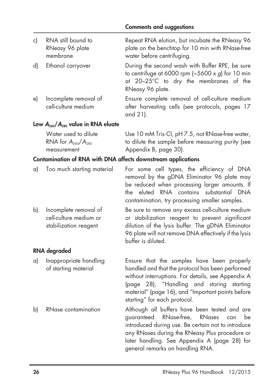| c) | RNA still bound to<br>RNeasy 96 plate<br>membrane | Repeat RNA elution, but incubate the RNeasy 96<br>plate on the benchtop for 10 min with RNase-free<br>water before centrifuging.                                         |
|----|---------------------------------------------------|--------------------------------------------------------------------------------------------------------------------------------------------------------------------------|
| d) | Ethanol carryover                                 | During the second wash with Buffer RPE, be sure<br>to centrifuge at 6000 rpm $(-5600 \times g)$ for 10 min<br>at 20-25°C to dry the membranes of the<br>RNeasy 96 plate. |
| e) | Incomplete removal of<br>cell-culture medium      | Ensure complete removal of cell-culture medium<br>after harvesting cells (see protocols, pages 17<br>and 21).                                                            |

#### **Low** *A***260/***A***<sup>280</sup> value in RNA eluate**

| Water used to dilute      | Use 10 mM Tris Cl, pH 7.5, not RNase-free water,  |
|---------------------------|---------------------------------------------------|
| RNA for $A_{260}/A_{280}$ | to dilute the sample before measuring purity (see |
| measurement               | Appendix B, page 30).                             |

### **Contamination of RNA with DNA affects downstream applications**

|  | a) Too much starting material                  | For some cell types, the efficiency of DNA    |
|--|------------------------------------------------|-----------------------------------------------|
|  |                                                | removal by the gDNA Eliminator 96 plate may   |
|  |                                                | be reduced when processing larger amounts. If |
|  | the eluted RNA contains substantial DNA        |                                               |
|  | contamination, try processing smaller samples. |                                               |

b) Incomplete removal of Be sure to remove any excess cell-culture medium cell-culture medium or or stabilization reagent to prevent significant stabilization reagent dilution of the lysis buffer. The gDNA Eliminator 96 plate will not remove DNA effectively if the lysis buffer is diluted.

### **RNA degraded**

- 
- 

a) Inappropriate handling Ensure that the samples have been properly of starting material handled and that the protocol has been performed without interruptions. For details, see Appendix A (page 28), "Handling and storing starting material" (page 16), and "Important points before starting" for each protocol.

b) RNase contamination Although all buffers have been tested and are guaranteed RNase-free, RNases can be introduced during use. Be certain not to introduce any RNases during the RNeasy Plus procedure or later handling. See Appendix A (page 28) for general remarks on handling RNA.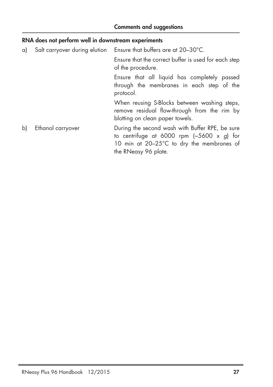### **RNA does not perform well in downstream experiments**

a) Salt carryover during elution Ensure that buffers are at 20–30°C.

Ensure that the correct buffer is used for each step of the procedure.

Ensure that all liquid has completely passed through the membranes in each step of the protocol.

When reusing S-Blocks between washing steps, remove residual flow-through from the rim by blotting on clean paper towels.

b) Ethanol carryover During the second wash with Buffer RPE, be sure to centrifuge at 6000 rpm (~5600 x *g*) for 10 min at 20–25°C to dry the membranes of the RNeasy 96 plate.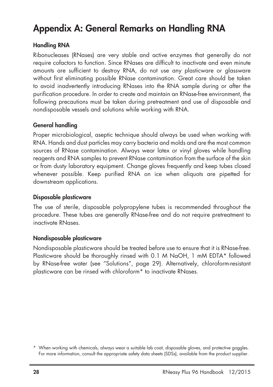## **Appendix A: General Remarks on Handling RNA**

### **Handling RNA**

Ribonucleases (RNases) are very stable and active enzymes that generally do not require cofactors to function. Since RNases are difficult to inactivate and even minute amounts are sufficient to destroy RNA, do not use any plasticware or glassware without first eliminating possible RNase contamination. Great care should be taken to avoid inadvertently introducing RNases into the RNA sample during or after the purification procedure. In order to create and maintain an RNase-free environment, the following precautions must be taken during pretreatment and use of disposable and nondisposable vessels and solutions while working with RNA.

### **General handling**

Proper microbiological, aseptic technique should always be used when working with RNA. Hands and dust particles may carry bacteria and molds and are the most common sources of RNase contamination. Always wear latex or vinyl gloves while handling reagents and RNA samples to prevent RNase contamination from the surface of the skin or from dusty laboratory equipment. Change gloves frequently and keep tubes closed whenever possible. Keep purified RNA on ice when aliquots are pipetted for downstream applications.

### **Disposable plasticware**

The use of sterile, disposable polypropylene tubes is recommended throughout the procedure. These tubes are generally RNase-free and do not require pretreatment to inactivate RNases.

### **Nondisposable plasticware**

Nondisposable plasticware should be treated before use to ensure that it is RNase-free. Plasticware should be thoroughly rinsed with 0.1 M NaOH, 1 mM EDTA\* followed by RNase-free water (see "Solutions", page 29). Alternatively, chloroform-resistant plasticware can be rinsed with chloroform\* to inactivate RNases.

<sup>\*</sup> When working with chemicals, always wear a suitable lab coat, disposable gloves, and protective goggles. For more information, consult the appropriate safety data sheets (SDSs), available from the product supplier.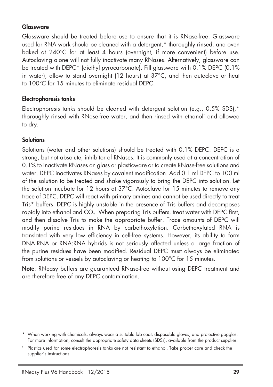### **Glassware**

Glassware should be treated before use to ensure that it is RNase-free. Glassware used for RNA work should be cleaned with a detergent,\* thoroughly rinsed, and oven baked at 240°C for at least 4 hours (overnight, if more convenient) before use. Autoclaving alone will not fully inactivate many RNases. Alternatively, glassware can be treated with DEPC\* (diethyl pyrocarbonate). Fill alassware with 0.1% DEPC (0.1%) in water), allow to stand overnight (12 hours) at 37°C, and then autoclave or heat to 100°C for 15 minutes to eliminate residual DEPC.

### **Electrophoresis tanks**

Electrophoresis tanks should be cleaned with detergent solution (e.g., 0.5% SDS).\* thoroughly rinsed with RNase-free water, and then rinsed with ethanol † and allowed to dry.

### **Solutions**

Solutions (water and other solutions) should be treated with 0.1% DEPC. DEPC is a strong, but not absolute, inhibitor of RNases. It is commonly used at a concentration of 0.1% to inactivate RNases on glass or plasticware or to create RNase-free solutions and water. DEPC inactivates RNases by covalent modification. Add 0.1 ml DEPC to 100 ml of the solution to be treated and shake vigorously to bring the DEPC into solution. Let the solution incubate for 12 hours at 37°C. Autoclave for 15 minutes to remove any trace of DEPC. DEPC will react with primary amines and cannot be used directly to treat Tris\* buffers. DEPC is highly unstable in the presence of Tris buffers and decomposes rapidly into ethanol and CO<sub>2</sub>. When preparing Tris buffers, treat water with DEPC first, and then dissolve Tris to make the appropriate buffer. Trace amounts of DEPC will modify purine residues in RNA by carbethoxylation. Carbethoxylated RNA is translated with very low efficiency in cell-free systems. However, its ability to form DNA:RNA or RNA:RNA hybrids is not seriously affected unless a large fraction of the purine residues have been modified. Residual DEPC must always be eliminated from solutions or vessels by autoclaving or heating to 100°C for 15 minutes.

**Note**: RNeasy buffers are guaranteed RNase-free without using DEPC treatment and are therefore free of any DEPC contamination.

<sup>\*</sup> When working with chemicals, always wear a suitable lab coat, disposable gloves, and protective goggles. For more information, consult the appropriate safety data sheets (SDSs), available from the product supplier.

<sup>†</sup> Plastics used for some electrophoresis tanks are not resistant to ethanol. Take proper care and check the supplier's instructions.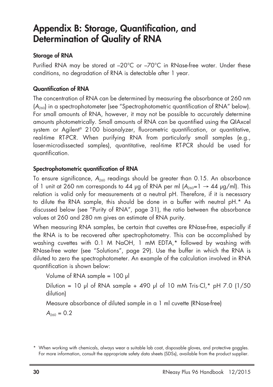## **Appendix B: Storage, Quantification, and Determination of Quality of RNA**

### **Storage of RNA**

Purified RNA may be stored at –20°C or –70°C in RNase-free water. Under these conditions, no degradation of RNA is detectable after 1 year.

### **Quantification of RNA**

The concentration of RNA can be determined by measuring the absorbance at 260 nm (*A*260) in a spectrophotometer (see "Spectrophotometric quantification of RNA" below). For small amounts of RNA, however, it may not be possible to accurately determine amounts photometrically. Small amounts of RNA can be quantified using the QIAxcel system or Agilent ® 2100 bioanalyzer, fluorometric quantification, or quantitative, real-time RT-PCR. When purifying RNA from particularly small samples (e.g., laser-microdissected samples), quantitative, real-time RT-PCR should be used for quantification.

### **Spectrophotometric quantification of RNA**

To ensure significance,  $A_{240}$  readings should be greater than 0.15. An absorbance of 1 unit at 260 nm corresponds to 44 µg of RNA per ml  $(A_{240} = 1 \rightarrow 44 \text{ µg/ml})$ . This relation is valid only for measurements at a neutral pH. Therefore, if it is necessary to dilute the RNA sample, this should be done in a buffer with neutral pH.\* As discussed below (see "Purity of RNA", page 31), the ratio between the absorbance values at 260 and 280 nm gives an estimate of RNA purity.

When measuring RNA samples, be certain that cuvettes are RNase-free, especially if the RNA is to be recovered after spectrophotometry. This can be accomplished by washing cuvettes with 0.1 M NaOH, 1 mM EDTA,\* followed by washing with RNase-free water (see "Solutions", page 29). Use the buffer in which the RNA is diluted to zero the spectrophotometer. An example of the calculation involved in RNA quantification is shown below:

Volume of RNA sample = 100 µl

Dilution = 10 µl of RNA sample + 490 µl of 10 mM Tris $\cdot$ Cl,\* pH 7.0 (1/50 dilution)

Measure absorbance of diluted sample in a 1 ml cuvette (RNase-free)

 $A_{260} = 0.2$ 

<sup>\*</sup> When working with chemicals, always wear a suitable lab coat, disposable gloves, and protective goggles. For more information, consult the appropriate safety data sheets (SDSs), available from the product supplier.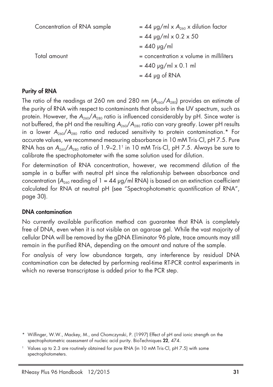| Concentration of RNA sample | $= 44$ µg/ml x $A_{260}$ x dilution factor  |
|-----------------------------|---------------------------------------------|
|                             | $= 44$ µg/ml x 0.2 x 50                     |
|                             | $= 440$ µg/ml                               |
| Total amount                | $=$ concentration $x$ volume in milliliters |
|                             | $= 440$ µg/ml x 0.1 ml                      |
|                             | $= 44$ µg of RNA                            |
|                             |                                             |

### **Purity of RNA**

The ratio of the readings at 260 nm and 280 nm  $(A_{260}/A_{280})$  provides an estimate of the purity of RNA with respect to contaminants that absorb in the UV spectrum, such as protein. However, the  $A_{260}/A_{280}$  ratio is influenced considerably by pH. Since water is not buffered, the pH and the resulting  $A_{260}/A_{280}$  ratio can vary greatly. Lower pH results in a lower  $A_{260}/A_{280}$  ratio and reduced sensitivity to protein contamination.\* For accurate values, we recommend measuring absorbance in 10 mM Tris·Cl, pH 7.5. Pure RNA has an  $A_{260}/A_{280}$  ratio of  $1.9-2.1^{\dagger}$  in 10 mM Tris·Cl, pH 7.5. Always be sure to calibrate the spectrophotometer with the same solution used for dilution.

For determination of RNA concentration, however, we recommend dilution of the sample in a buffer with neutral pH since the relationship between absorbance and concentration ( $A_{240}$  reading of 1 = 44  $\mu$ g/ml RNA) is based on an extinction coefficient calculated for RNA at neutral pH (see "Spectrophotometric quantification of RNA", page 30).

### **DNA contamination**

No currently available purification method can guarantee that RNA is completely free of DNA, even when it is not visible on an agarose gel. While the vast majority of cellular DNA will be removed by the gDNA Eliminator 96 plate, trace amounts may still remain in the purified RNA, depending on the amount and nature of the sample.

For analysis of very low abundance targets, any interference by residual DNA contamination can be detected by performing real-time RT-PCR control experiments in which no reverse transcriptase is added prior to the PCR step.

<sup>\*</sup> Wilfinger, W.W., Mackey, M., and Chomczynski, P. (1997) Effect of pH and ionic strength on the spectrophotometric assessment of nucleic acid purity. BioTechniques **22**, 474.

<sup>†</sup> Values up to 2.3 are routinely obtained for pure RNA (in 10 mM Tris·Cl, pH 7.5) with some spectrophotometers.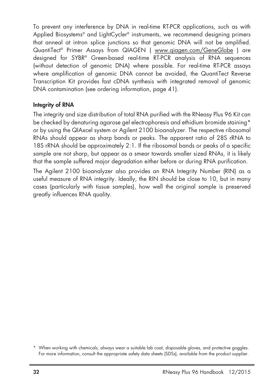To prevent any interference by DNA in real-time RT-PCR applications, such as with Applied Biosystems® and LightCycler ® instruments, we recommend designing primers that anneal at intron splice junctions so that genomic DNA will not be amplified. QuantiTect® Primer Assays trom QIAGEN ( <u>www.qiagen.com/GeneGlobe</u> ) are designed for SYBR® Green-based real-time RT-PCR analysis of RNA sequences (without detection of genomic DNA) where possible. For real-time RT-PCR assays where amplification of genomic DNA cannot be avoided, the QuantiTect Reverse Transcription Kit provides fast cDNA synthesis with integrated removal of genomic DNA contamination (see ordering information, page 41).

### **Integrity of RNA**

The integrity and size distribution of total RNA purified with the RNeasy Plus 96 Kit can be checked by denaturing agarose gel electrophoresis and ethidium bromide staining\* or by using the QIAxcel system or Agilent 2100 bioanalyzer. The respective ribosomal RNAs should appear as sharp bands or peaks. The apparent ratio of 28S rRNA to 18S rRNA should be approximately 2:1. If the ribosomal bands or peaks of a specific sample are not sharp, but appear as a smear towards smaller sized RNAs, it is likely that the sample suffered major degradation either before or during RNA purification.

The Agilent 2100 bioanalyzer also provides an RNA Integrity Number (RIN) as a useful measure of RNA integrity. Ideally, the RIN should be close to 10, but in many cases (particularly with tissue samples), how well the original sample is preserved greatly influences RNA quality.

<sup>\*</sup> When working with chemicals, always wear a suitable lab coat, disposable gloves, and protective goggles. For more information, consult the appropriate safety data sheets (SDSs), available from the product supplier.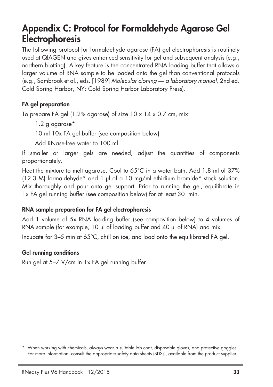## **Appendix C: Protocol for Formaldehyde Agarose Gel Electrophoresis**

The following protocol for formaldehyde agarose (FA) gel electrophoresis is routinely used at QIAGEN and gives enhanced sensitivity for gel and subsequent analysis (e.g., northern blotting). A key feature is the concentrated RNA loading buffer that allows a larger volume of RNA sample to be loaded onto the gel than conventional protocols (e.g., Sambrook et al., eds. [1989] *Molecular cloning — a laboratory manual,* 2nd ed. Cold Spring Harbor, NY: Cold Spring Harbor Laboratory Press).

### **FA gel preparation**

To prepare FA gel (1.2% agarose) of size 10 x 14 x 0.7 cm, mix:

1.2 g agarose\*

10 ml 10x FA gel buffer (see composition below)

Add RNase-free water to 100 ml

If smaller or larger gels are needed, adjust the quantities of components proportionately.

Heat the mixture to melt agarose. Cool to 65°C in a water bath. Add 1.8 ml of 37%  $(12.3 \text{ M})$  formaldehyde\* and 1 µl of a 10 ma/ml ethidium bromide\* stock solution. Mix thoroughly and pour onto gel support. Prior to running the gel, equilibrate in 1x FA gel running buffer (see composition below) for at least 30 min.

### **RNA sample preparation for FA gel electrophoresis**

Add 1 volume of 5x RNA loading buffer (see composition below) to 4 volumes of RNA sample (for example, 10 µl of loading buffer and 40 µl of RNA) and mix. Incubate for 3–5 min at 65°C, chill on ice, and load onto the equilibrated FA gel.

### **Gel running conditions**

Run gel at 5–7 V/cm in 1x FA gel running buffer.

<sup>\*</sup> When working with chemicals, always wear a suitable lab coat, disposable gloves, and protective goggles. For more information, consult the appropriate safety data sheets (SDSs), available from the product supplier.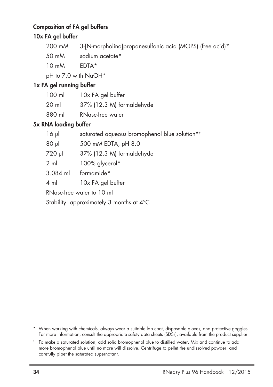### **Composition of FA gel buffers**

### **10x FA gel buffer**

| 200 mM | 3-[N-morpholino]propanesulfonic acid (MOPS) (free acid)* |  |  |  |
|--------|----------------------------------------------------------|--|--|--|
|--------|----------------------------------------------------------|--|--|--|

- 50 mM sodium acetate\*
- 10 mM EDTA\*

pH to 7.0 with NaOH\*

### **1x FA gel running buffer**

| $100$ m | 10x FA gel buffer         |
|---------|---------------------------|
| 20 ml   | 37% (12.3 M) formaldehyde |
| 880 ml  | RNase-free water          |

### **5x RNA loading buffer**

| $16 \mu$       | saturated aqueous bromophenol blue solution* <sup>1</sup> |
|----------------|-----------------------------------------------------------|
| $80 \mu$       | 500 mM EDTA, pH 8.0                                       |
| 720 µl         | 37% (12.3 M) formaldehyde                                 |
| $2 \text{ ml}$ | 100% glycerol*                                            |
| 3.084 ml       | formamide*                                                |
| $4 \text{ ml}$ | 10x FA gel buffer                                         |
|                | RNase-free water to 10 ml                                 |
|                | Stability: approximately 3 months at 4°C                  |

\* When working with chemicals, always wear a suitable lab coat, disposable gloves, and protective goggles. For more information, consult the appropriate safety data sheets (SDSs), available from the product supplier.

<sup>†</sup> To make a saturated solution, add solid bromophenol blue to distilled water. Mix and continue to add more bromophenol blue until no more will dissolve. Centrifuge to pellet the undissolved powder, and carefully pipet the saturated supernatant.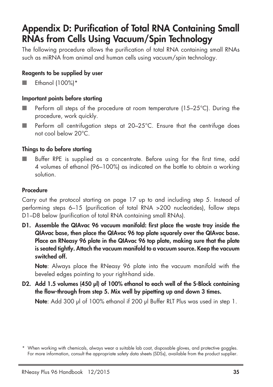## **Appendix D: Purification of Total RNA Containing Small RNAs from Cells Using Vacuum/Spin Technology**

The following procedure allows the purification of total RNA containing small RNAs such as miRNA from animal and human cells using vacuum/spin technology.

### **Reagents to be supplied by user**

■ Ethanol (100%)\*

### **Important points before starting**

- Perform all steps of the procedure at room temperature (15–25°C). During the procedure, work quickly.
- Perform all centrifugation steps at 20-25°C. Ensure that the centrifuge does not cool below 20°C.

### **Things to do before starting**

Buffer RPE is supplied as a concentrate. Before using for the first time, add 4 volumes of ethanol (96–100%) as indicated on the bottle to obtain a working solution.

### **Procedure**

Carry out the protocol starting on page 17 up to and including step 5. Instead of performing steps 6–15 (purification of total RNA >200 nucleotides), follow steps D1–D8 below (purification of total RNA containing small RNAs).

**D1. Assemble the QIAvac 96 vacuum manifold: first place the waste tray inside the QIAvac base, then place the QIAvac 96 top plate squarely over the QIAvac base. Place an RNeasy 96 plate in the QIAvac 96 top plate, making sure that the plate is seated tightly. Attach the vacuum manifold to a vacuum source. Keep the vacuum switched off.**

**Note**: Always place the RNeasy 96 plate into the vacuum manifold with the beveled edges pointing to your right-hand side.

**D2. Add 1.5 volumes (450 µl) of 100% ethanol to each well of the S-Block containing the flow-through from step 5. Mix well by pipetting up and down 3 times.**

**Note**: Add 300 µl of 100% ethanol if 200 µl Buffer RLT Plus was used in step 1.

<sup>\*</sup> When working with chemicals, always wear a suitable lab coat, disposable gloves, and protective goggles. For more information, consult the appropriate safety data sheets (SDSs), available from the product supplier.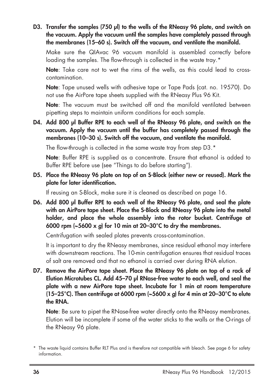**D3. Transfer the samples (750 µl) to the wells of the RNeasy 96 plate, and switch on the vacuum. Apply the vacuum until the samples have completely passed through the membranes (15–60 s). Switch off the vacuum, and ventilate the manifold.**

Make sure the QIAvac 96 vacuum manifold is assembled correctly before loading the samples. The flow-through is collected in the waste tray.\*

**Note**: Take care not to wet the rims of the wells, as this could lead to crosscontamination.

**Note**: Tape unused wells with adhesive tape or Tape Pads (cat. no. 19570). Do not use the AirPore tape sheets supplied with the RNeasy Plus 96 Kit.

**Note**: The vacuum must be switched off and the manifold ventilated between pipetting steps to maintain uniform conditions for each sample.

**D4. Add 800 µl Buffer RPE to each well of the RNeasy 96 plate, and switch on the vacuum. Apply the vacuum until the buffer has completely passed through the membranes (10–30 s). Switch off the vacuum, and ventilate the manifold.**

The flow-through is collected in the same waste tray from step D3.\*

**Note**: Buffer RPE is supplied as a concentrate. Ensure that ethanol is added to Buffer RPE before use (see "Things to do before starting").

**D5. Place the RNeasy 96 plate on top of an S-Block (either new or reused). Mark the plate for later identification.**

If reusing an S-Block, make sure it is cleaned as described on page 16.

**D6. Add 800 µl Buffer RPE to each well of the RNeasy 96 plate, and seal the plate with an AirPore tape sheet. Place the S-Block and RNeasy 96 plate into the metal holder, and place the whole assembly into the rotor bucket. Centrifuge at 6000 rpm (~5600 x** *g***) for 10 min at 20–30°C to dry the membranes.**

Centrifugation with sealed plates prevents cross-contamination.

It is important to dry the RNeasy membranes, since residual ethanol may interfere with downstream reactions. The 10-min centrifugation ensures that residual traces of salt are removed and that no ethanol is carried over during RNA elution.

**D7. Remove the AirPore tape sheet. Place the RNeasy 96 plate on top of a rack of Elution Microtubes CL. Add 45–70 µl RNase-free water to each well, and seal the plate with a new AirPore tape sheet. Incubate for 1 min at room temperature (15–25°C). Then centrifuge at 6000 rpm (~5600 x** *g***) for 4 min at 20–30°C to elute the RNA.**

**Note**: Be sure to pipet the RNase-free water directly onto the RNeasy membranes. Elution will be incomplete if some of the water sticks to the walls or the O-rings of the RNeasy 96 plate.

<sup>\*</sup> The waste liquid contains Buffer RLT Plus and is therefore not compatible with bleach. See page 6 for safety information.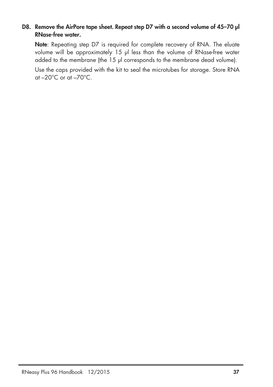### **D8. Remove the AirPore tape sheet. Repeat step D7 with a second volume of 45–70 µl RNase-free water.**

**Note**: Repeating step D7 is required for complete recovery of RNA. The eluate volume will be approximately 15 µl less than the volume of RNase-free water added to the membrane (the 15 µl corresponds to the membrane dead volume).

Use the caps provided with the kit to seal the microtubes for storage. Store RNA at  $-20^{\circ}$ C or at  $-70^{\circ}$ C.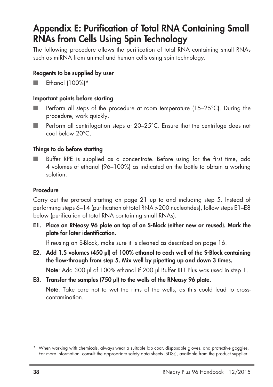## **Appendix E: Purification of Total RNA Containing Small RNAs from Cells Using Spin Technology**

The following procedure allows the purification of total RNA containing small RNAs such as miRNA from animal and human cells using spin technology.

### **Reagents to be supplied by user**

Ethanol (100%)\*

### **Important points before starting**

- Perform all steps of the procedure at room temperature (15–25°C). During the procedure, work quickly.
- Perform all centrifugation steps at 20–25°C. Ensure that the centrifuge does not cool below 20°C.

### **Things to do before starting**

Buffer RPE is supplied as a concentrate. Before using for the first time, add 4 volumes of ethanol (96–100%) as indicated on the bottle to obtain a working solution.

### **Procedure**

Carry out the protocol starting on page 21 up to and including step 5. Instead of performing steps 6–14 (purification of total RNA >200 nucleotides), follow steps E1–E8 below (purification of total RNA containing small RNAs).

**E1. Place an RNeasy 96 plate on top of an S-Block (either new or reused). Mark the plate for later identification.**

If reusing an S-Block, make sure it is cleaned as described on page 16.

**E2. Add 1.5 volumes (450 µl) of 100% ethanol to each well of the S-Block containing the flow-through from step 5. Mix well by pipetting up and down 3 times.**

**Note**: Add 300 µl of 100% ethanol if 200 µl Buffer RLT Plus was used in step 1.

**E3. Transfer the samples (750 µl) to the wells of the RNeasy 96 plate.**

**Note**: Take care not to wet the rims of the wells, as this could lead to crosscontamination.

<sup>\*</sup> When working with chemicals, always wear a suitable lab coat, disposable gloves, and protective goggles. For more information, consult the appropriate safety data sheets (SDSs), available from the product supplier.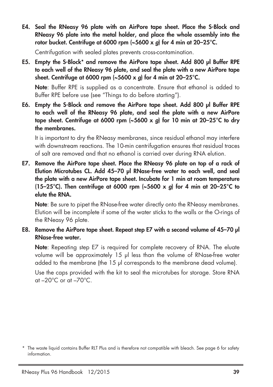**E4. Seal the RNeasy 96 plate with an AirPore tape sheet. Place the S-Block and RNeasy 96 plate into the metal holder, and place the whole assembly into the rotor bucket. Centrifuge at 6000 rpm (~5600 x** *g***) for 4 min at 20–25°C.**

Centrifugation with sealed plates prevents cross-contamination.

**E5. Empty the S-Block\* and remove the AirPore tape sheet. Add 800 µl Buffer RPE to each well of the RNeasy 96 plate, and seal the plate with a new AirPore tape sheet. Centrifuge at 6000 rpm (~5600 x** *g***) for 4 min at 20–25°C.**

**Note**: Buffer RPE is supplied as a concentrate. Ensure that ethanol is added to Buffer RPE before use (see "Things to do before starting").

**E6. Empty the S-Block and remove the AirPore tape sheet. Add 800 µl Buffer RPE to each well of the RNeasy 96 plate, and seal the plate with a new AirPore tape sheet. Centrifuge at 6000 rpm (~5600 x** *g***) for 10 min at 20–25°C to dry the membranes.**

It is important to dry the RNeasy membranes, since residual ethanol may interfere with downstream reactions. The 10-min centrifugation ensures that residual traces of salt are removed and that no ethanol is carried over during RNA elution.

**E7. Remove the AirPore tape sheet. Place the RNeasy 96 plate on top of a rack of Elution Microtubes CL. Add 45–70 µl RNase-free water to each well, and seal the plate with a new AirPore tape sheet. Incubate for 1 min at room temperature (15–25°C). Then centrifuge at 6000 rpm (~5600 x** *g***) for 4 min at 20–25°C to elute the RNA.**

**Note:** Be sure to pipet the RNase-free water directly onto the RNeasy membranes. Elution will be incomplete if some of the water sticks to the walls or the O-rings of the RNeasy 96 plate.

**E8. Remove the AirPore tape sheet. Repeat step E7 with a second volume of 45–70 µl RNase-free water.**

**Note**: Repeating step E7 is required for complete recovery of RNA. The eluate volume will be approximately 15 µl less than the volume of RNase-free water added to the membrane (the 15 µl corresponds to the membrane dead volume).

Use the caps provided with the kit to seal the microtubes for storage. Store RNA at  $-20^{\circ}$ C or at  $-70^{\circ}$ C.

<sup>\*</sup> The waste liquid contains Buffer RLT Plus and is therefore not compatible with bleach. See page 6 for safety information.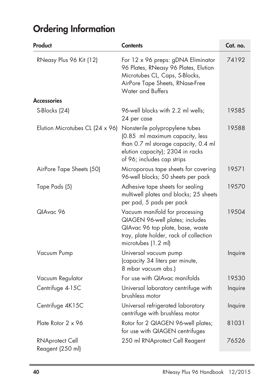# **Ordering Information**

| Product                                    | <b>Contents</b>                                                                                                                                                             | Cat. no. |
|--------------------------------------------|-----------------------------------------------------------------------------------------------------------------------------------------------------------------------------|----------|
| RNeasy Plus 96 Kit (12)                    | For 12 x 96 preps: gDNA Eliminator<br>96 Plates, RNeasy 96 Plates, Elution<br>Microtubes CL, Caps, S-Blocks,<br>AirPore Tape Sheets, RNase-Free<br><b>Water and Buffers</b> | 74192    |
| <b>Accessories</b>                         |                                                                                                                                                                             |          |
| S-Blocks (24)                              | 96-well blocks with 2.2 ml wells;<br>24 per case                                                                                                                            | 19585    |
| Elution Microtubes CL $(24 \times 96)$     | Nonsterile polypropylene tubes<br>(0.85 ml maximum capacity, less<br>than 0.7 ml storage capacity, 0.4 ml<br>elution capacity); 2304 in racks<br>of 96; includes cap strips | 19588    |
| AirPore Tape Sheets (50)                   | Microporous tape sheets for covering<br>96-well blocks; 50 sheets per pack                                                                                                  | 19571    |
| Tape Pads (5)                              | Adhesive tape sheets for sealing<br>multiwell plates and blocks; 25 sheets<br>per pad, 5 pads per pack                                                                      | 19570    |
| QIAvac 96                                  | Vacuum manifold for processing<br>QIAGEN 96-well plates; includes<br>QIAvac 96 top plate, base, waste<br>tray, plate holder, rack of collection<br>microtubes (1.2 ml)      | 19504    |
| Vacuum Pump                                | Universal vacuum pump<br>(capacity 34 liters per minute,<br>8 mbar vacuum abs.)                                                                                             | Inquire  |
| Vacuum Regulator                           | For use with QIAvac manifolds                                                                                                                                               | 19530    |
| Centrifuge 4-15C                           | Universal laboratory centrifuge with<br>brushless motor                                                                                                                     | Inquire  |
| Centrifuge 4K15C                           | Universal refrigerated laboratory<br>centrifuge with brushless motor                                                                                                        | Inquire  |
| Plate Rotor 2 x 96                         | Rotor for 2 QIAGEN 96-well plates;<br>for use with QIAGEN centrifuges                                                                                                       | 81031    |
| <b>RNAprotect Cell</b><br>Reagent (250 ml) | 250 ml RNAprotect Cell Reagent                                                                                                                                              | 76526    |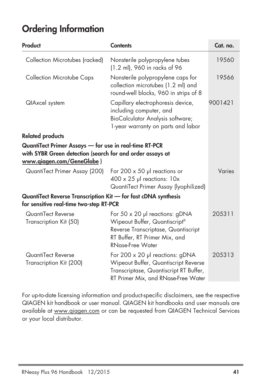## **Ordering Information**

| Product                                                                                                                                                                           | <b>Contents</b>                                                                                                                                                    | Cat. no. |
|-----------------------------------------------------------------------------------------------------------------------------------------------------------------------------------|--------------------------------------------------------------------------------------------------------------------------------------------------------------------|----------|
| Collection Microtubes (racked)                                                                                                                                                    | Nonsterile polypropylene tubes<br>(1.2 ml), 960 in racks of 96                                                                                                     | 19560    |
| <b>Collection Microtube Caps</b>                                                                                                                                                  | Nonsterile polypropylene caps for<br>collection microtubes (1.2 ml) and<br>round-well blocks, 960 in strips of 8                                                   | 19566    |
| <b>QIAxcel</b> system                                                                                                                                                             | Capillary electrophoresis device,<br>including computer, and<br>BioCalculator Analysis software;<br>1-year warranty on parts and labor                             | 9001421  |
| <b>Related products</b>                                                                                                                                                           |                                                                                                                                                                    |          |
| QuantiTect Primer Assays - for use in real-time RT-PCR<br>with SYBR Green detection (search for and order assays at<br>www.qiagen.com/GeneGlobe)<br>QuantiTect Primer Assay (200) | For 200 $\times$ 50 µl reactions or<br>$400 \times 25$ µl reactions: $10x$                                                                                         | Varies   |
|                                                                                                                                                                                   | QuantiTect Primer Assay (lyophilized)                                                                                                                              |          |
| QuantiTect Reverse Transcription Kit - for fast cDNA synthesis<br>for sensitive real-time two-step RT-PCR                                                                         |                                                                                                                                                                    |          |
| QuantiTect Reverse<br>Transcription Kit (50)                                                                                                                                      | For 50 x 20 µl reactions: gDNA<br>Wipeout Buffer, Quantiscript®<br>Reverse Transcriptase, Quantiscript<br>RT Buffer, RT Primer Mix, and<br><b>RNase-Free Water</b> | 205311   |
| QuantiTect Reverse<br>Transcription Kit (200)                                                                                                                                     | For 200 x 20 µl reactions: gDNA<br>Wipeout Buffer, Quantiscript Reverse<br>Transcriptase, Quantiscript RT Buffer,<br>RT Primer Mix, and RNase-Free Water           | 205313   |

For up-to-date licensing information and product-specific disclaimers, see the respective QIAGEN kit handbook or user manual. QIAGEN kit handbooks and user manuals are available at www.qiagen.com or can be requested from QIAGEN Technical Services or your local distributor.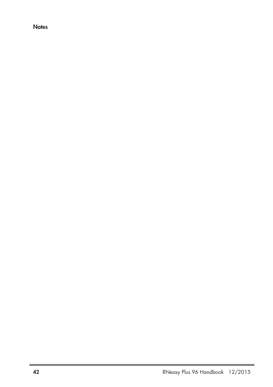### **Notes**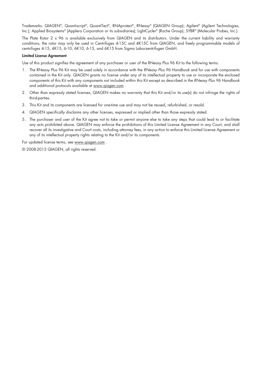Trademarks: QIAGEN®, Quantiscript®, QuantiTect®, RNAprotect®, RNeasy® (QIAGEN Group); Agilent® (Agilent Technologies, Inc.); Applied Biosystems® (Applera Corporation or its subsidiaries); LightCycler ® (Roche Group); SYBR® (Molecular Probes, Inc.).

The Plate Rotor 2 x 96 is available exclusively from QIAGEN and its distributors. Under the current liability and warranty conditions, the rotor may only be used in Centrifuges 4-15C and 4K15C from QIAGEN, and freely programmable models of centrifuges 4-15, 4K15, 6-10, 6K10, 6-15, and 6K15 from Sigma Laborzentrifugen GmbH.

#### **Limited License Agreement**

Use of this product signifies the agreement of any purchaser or user of the RNeasy Plus 96 Kit to the following terms:

- 1. The RNeasy Plus 96 Kit may be used solely in accordance with the *RNeasy Plus 96 Handbook* and for use with components contained in the Kit only. QIAGEN grants no license under any of its intellectual property to use or incorporate the enclosed components of this Kit with any components not included within this Kit except as described in the *RNeasy Plus 96 Handbook* and additional protocols available at www.qiagen.com .
- 2. Other than expressly stated licenses, QIAGEN makes no warranty that this Kit and/or its use(s) do not infringe the rights of third-parties.
- 3. This Kit and its components are licensed for one-time use and may not be reused, refurbished, or resold.
- 4. QIAGEN specifically disclaims any other licenses, expressed or implied other than those expressly stated.
- 5. The purchaser and user of the Kit agree not to take or permit anyone else to take any steps that could lead to or facilitate any acts prohibited above. QIAGEN may enforce the prohibitions of this Limited License Agreement in any Court, and shall recover all its investigative and Court costs, including attorney fees, in any action to enforce this Limited License Agreement or any of its intellectual property rights relating to the Kit and/or its components.

For updated license terms, see www.qiagen.com .

© 2008-2015 QIAGEN, all rights reserved.